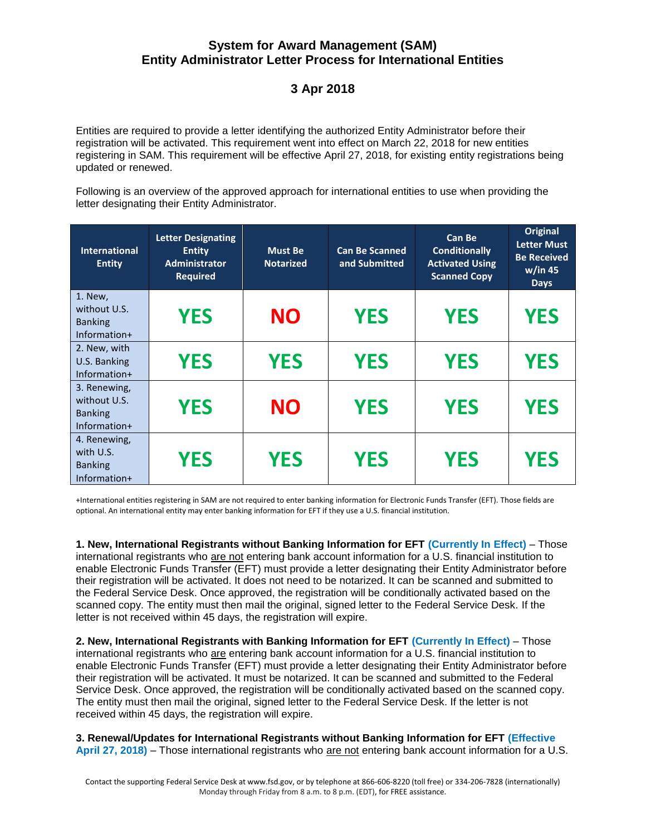## **System for Award Management (SAM) Entity Administrator Letter Process for International Entities**

## **3 Apr 2018**

Entities are required to provide a letter identifying the authorized Entity Administrator before their registration will be activated. This requirement went into effect on March 22, 2018 for new entities registering in SAM. This requirement will be effective April 27, 2018, for existing entity registrations being updated or renewed.

Following is an overview of the approved approach for international entities to use when providing the letter designating their Entity Administrator.

| <b>International</b><br><b>Entity</b>                          | <b>Letter Designating</b><br><b>Entity</b><br><b>Administrator</b><br><b>Required</b> | <b>Must Be</b><br><b>Notarized</b> | <b>Can Be Scanned</b><br>and Submitted | <b>Can Be</b><br><b>Conditionally</b><br><b>Activated Using</b><br><b>Scanned Copy</b> | <b>Original</b><br><b>Letter Must</b><br><b>Be Received</b><br>w/in 45<br><b>Days</b> |
|----------------------------------------------------------------|---------------------------------------------------------------------------------------|------------------------------------|----------------------------------------|----------------------------------------------------------------------------------------|---------------------------------------------------------------------------------------|
| 1. New,<br>without U.S.<br><b>Banking</b><br>Information+      | <b>YES</b>                                                                            | <b>NO</b>                          | <b>YES</b>                             | <b>YES</b>                                                                             | <b>YES</b>                                                                            |
| 2. New, with<br>U.S. Banking<br>Information+                   | <b>YES</b>                                                                            | <b>YES</b>                         | <b>YES</b>                             | <b>YES</b>                                                                             | <b>YES</b>                                                                            |
| 3. Renewing,<br>without U.S.<br><b>Banking</b><br>Information+ | <b>YES</b>                                                                            | <b>NO</b>                          | <b>YES</b>                             | <b>YES</b>                                                                             | <b>YES</b>                                                                            |
| 4. Renewing,<br>with U.S.<br><b>Banking</b><br>Information+    | <b>YES</b>                                                                            | <b>YES</b>                         | <b>YES</b>                             | <b>YES</b>                                                                             | <b>YES</b>                                                                            |

+International entities registering in SAM are not required to enter banking information for Electronic Funds Transfer (EFT). Those fields are optional. An international entity may enter banking information for EFT if they use a U.S. financial institution.

**1. New, International Registrants without Banking Information for EFT (Currently In Effect)** – Those international registrants who are not entering bank account information for a U.S. financial institution to enable Electronic Funds Transfer (EFT) must provide a letter designating their Entity Administrator before their registration will be activated. It does not need to be notarized. It can be scanned and submitted to the Federal Service Desk. Once approved, the registration will be conditionally activated based on the scanned copy. The entity must then mail the original, signed letter to the Federal Service Desk. If the letter is not received within 45 days, the registration will expire.

**2. New, International Registrants with Banking Information for EFT (Currently In Effect)** – Those international registrants who are entering bank account information for a U.S. financial institution to enable Electronic Funds Transfer (EFT) must provide a letter designating their Entity Administrator before their registration will be activated. It must be notarized. It can be scanned and submitted to the Federal Service Desk. Once approved, the registration will be conditionally activated based on the scanned copy. The entity must then mail the original, signed letter to the Federal Service Desk. If the letter is not received within 45 days, the registration will expire.

**3. Renewal/Updates for International Registrants without Banking Information for EFT (Effective April 27, 2018)** – Those international registrants who are not entering bank account information for a U.S.